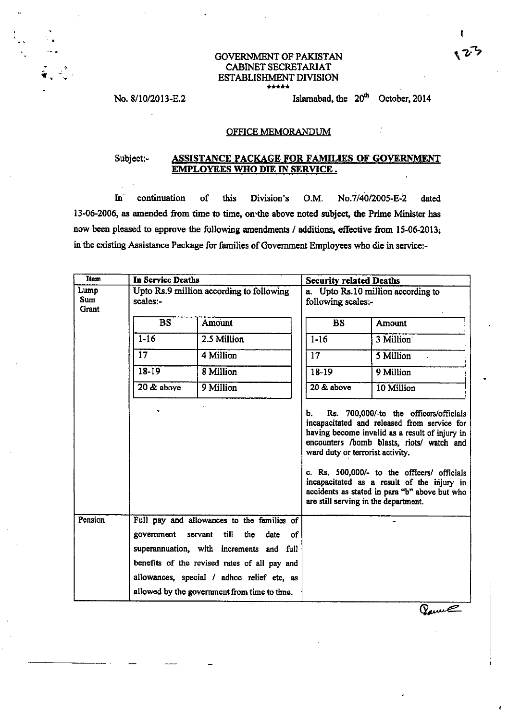## GOVERNMENT OF PAKISTAN CABINET SECRETARIAT **ESTABLISHMENT DIVISION**

#### OFFICE MEMORANDUM

### Subject:- **ASSISTANCE PACKAGE FOR FAMILES OF COVERNMEhT EMPLOYEES WHO** DIE **IN SERVICE.**

**In** continuation of this Division's O.M. No.7/40/2005-E-2 dated 13-06-2006, as amended from time to **time,** on-the above noted subject, the Prime **Minister** has now been pleased to approve the following amendments / additions, effective from 15-06-2013; in the existing Assistance Package for families of Government Employees who die in service:-

| <b>Item</b>           | In Service Deaths |                                                                                    | <b>Security related Deaths</b>         |                                                                                                                                                                                                                                                                                                                                                                            |
|-----------------------|-------------------|------------------------------------------------------------------------------------|----------------------------------------|----------------------------------------------------------------------------------------------------------------------------------------------------------------------------------------------------------------------------------------------------------------------------------------------------------------------------------------------------------------------------|
| Lump<br>Sum.<br>Grant | scales:-          | Upto Rs.9 million according to following                                           | following scales:-                     | a. Upto Rs.10 million according to                                                                                                                                                                                                                                                                                                                                         |
|                       | <b>BS</b>         | <b>Amount</b>                                                                      | <b>BS</b>                              | <b>Amount</b>                                                                                                                                                                                                                                                                                                                                                              |
|                       | $1 - 16$          | 2.5 Million                                                                        | $1 - 16$                               | 3 Million                                                                                                                                                                                                                                                                                                                                                                  |
|                       | 17                | 4 Million                                                                          | 17                                     | 5 Million                                                                                                                                                                                                                                                                                                                                                                  |
|                       | 18-19             | 8 Million                                                                          | 18-19                                  | 9 Million                                                                                                                                                                                                                                                                                                                                                                  |
|                       | 20 & above        | 9 Million                                                                          | 20 & above                             | 10 Million                                                                                                                                                                                                                                                                                                                                                                 |
|                       |                   |                                                                                    | Ь.<br>ward duty or terrorist activity. | Rs. 700,000/-to the officers/officials<br>incapacitated and released from service for<br>having become invalid as a result of injury in<br>encounters /bomb blasts, riots/ watch and<br>c. Rs. 500,000/- to the officers/ officials<br>incapacitated as a result of the injury in<br>accidents as stated in para "b" above but who<br>are still serving in the department. |
| Pension               | government        | Full pay and allowances to the families of<br>till<br>servant<br>the<br>of<br>date |                                        | $\bullet$                                                                                                                                                                                                                                                                                                                                                                  |
|                       |                   | superannuation, with increments and<br>full                                        |                                        |                                                                                                                                                                                                                                                                                                                                                                            |
|                       |                   | benefits of the revised rates of all pay and                                       |                                        |                                                                                                                                                                                                                                                                                                                                                                            |
|                       |                   | allowances, special / adhoc relief etc, as                                         |                                        |                                                                                                                                                                                                                                                                                                                                                                            |
|                       |                   | allowed by the government from time to time.                                       |                                        |                                                                                                                                                                                                                                                                                                                                                                            |

Barne

123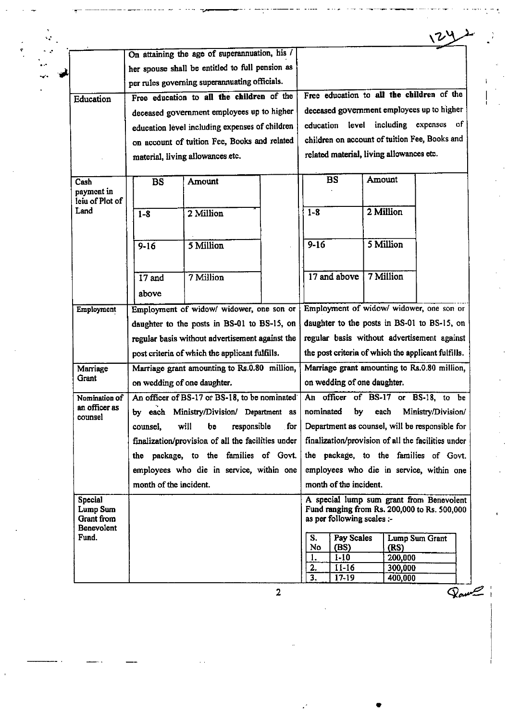|                               | On attaining the age of superannuation, his /      |     |                                                    |                             |                         |
|-------------------------------|----------------------------------------------------|-----|----------------------------------------------------|-----------------------------|-------------------------|
|                               | her spouse shall be entitled to full pension as    |     |                                                    |                             |                         |
|                               | per rules governing superannuating officials.      |     |                                                    |                             |                         |
| Education                     | Free education to all the children of the          |     | Free education to all the children of the          |                             |                         |
|                               | deceased government employees up to higher         |     | deceased government employees up to higher         |                             |                         |
|                               | education level including expenses of children     |     | education                                          | level including expenses of |                         |
|                               | on account of tuition Fee, Books and related       |     | children on account of tuition Fee, Books and      |                             |                         |
|                               | material, living allowances etc.                   |     | related material, living allowances etc.           |                             |                         |
|                               |                                                    |     |                                                    |                             |                         |
| Cash                          | <b>BS</b><br><b>Amount</b>                         |     | <b>BS</b>                                          | Amount                      |                         |
| payment in<br>leiu of Plot of |                                                    |     |                                                    |                             |                         |
| Land                          | 2 Million<br>$1 - 8$                               |     | $1 - 8$                                            | 2 Million                   |                         |
|                               |                                                    |     |                                                    |                             |                         |
|                               | 5 Million                                          |     | $9 - 16$                                           | 5 Million                   |                         |
|                               | $9 - 16$                                           |     |                                                    |                             |                         |
|                               |                                                    |     |                                                    |                             |                         |
|                               | 7 Million<br>$17$ and                              |     | 17 and above                                       | 7 Million                   |                         |
|                               | above                                              |     |                                                    |                             |                         |
| Employment                    | Employment of widow/ widower, one son or           |     | Employment of widow/ widower, one son or           |                             |                         |
|                               | daughter to the posts in BS-01 to BS-15, on        |     | daughter to the posts in BS-01 to BS-15, on        |                             |                         |
|                               | regular basis without advertisement against the    |     | regular basis without advertisement against        |                             |                         |
|                               | post criteria of which the applicant fulfills.     |     | the post criteria of which the applicant fulfills. |                             |                         |
| Marriage                      | Marriage grant amounting to Rs.0.80 million,       |     | Marriage grant amounting to Rs.0.80 million,       |                             |                         |
| Grant                         | on wedding of one daughter.                        |     | on wedding of one daughter.                        |                             |                         |
| Nomination of                 | An officer of BS-17 or BS-18, to be nominated      |     | An officer of BS-17 or BS-18, to be                |                             |                         |
| an officer as<br>counsel      | by each Ministry/Division/ Department as           |     | nominated<br>by                                    |                             | each Ministry/Division/ |
|                               | will<br>responsible<br>counsel,<br>be              | for | Department as counsel, will be responsible for     |                             |                         |
|                               | finalization/provision of all the facilities under |     | finalization/provision of all the facilities under |                             |                         |
|                               | the package, to the families of Govt.              |     | the package, to the families of Govt.              |                             |                         |
|                               | employees who die in service, within one           |     | employees who die in service, within one           |                             |                         |
|                               | month of the incident.                             |     | month of the incident.                             |                             |                         |
| <b>Special</b>                |                                                    |     | A special lump sum grant from Benevolent           |                             |                         |
| Lump Sum<br><b>Grant</b> from |                                                    |     | Fund ranging from Rs. 200,000 to Rs. 500,000       |                             |                         |
| <b>Benevolent</b>             |                                                    |     | as per following scales :-                         |                             |                         |
| Fund.                         |                                                    |     | S.<br>Pay Scales                                   |                             | Lump Sum Grant          |
|                               |                                                    |     | No<br>(BS)<br>1.<br>$1-10$                         | (RS)<br>200,000             |                         |
|                               |                                                    |     | 2.<br>$11-16$                                      | 300,000                     |                         |
|                               |                                                    |     | 3.<br>$17 - 19$                                    | 400,000                     |                         |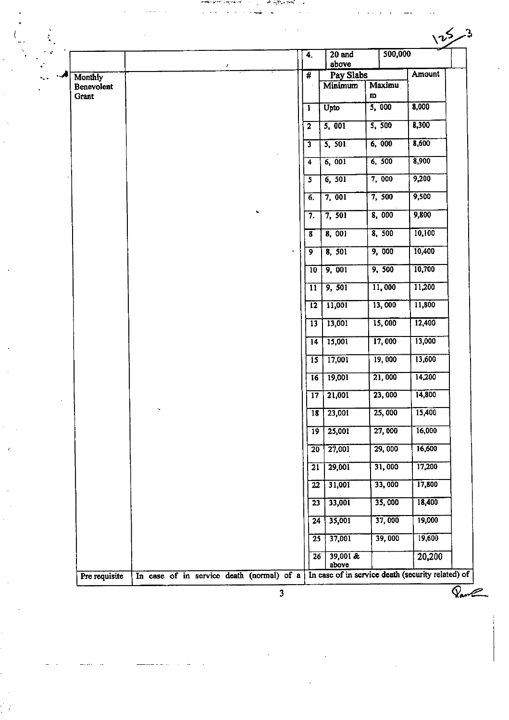|                                |                                           |                          | 4.                       |                 | 20 and               | 500,000                                           |        |
|--------------------------------|-------------------------------------------|--------------------------|--------------------------|-----------------|----------------------|---------------------------------------------------|--------|
|                                |                                           | $\mathcal{E}_\mathrm{c}$ |                          |                 | above                |                                                   | Amount |
| Monthly<br>Benevolent<br>Grant |                                           |                          | $\overline{\mathbf{t}}$  |                 | Pay Slabs<br>Minimum | Maximu<br>m                                       |        |
|                                |                                           |                          | 1                        |                 | Upto                 | 5,000                                             | 8,000  |
|                                |                                           |                          | $\overline{2}$           |                 | 5,001                | 5,500                                             | 8,300  |
|                                |                                           |                          | $\overline{\mathbf{3}}$  |                 | 5, 501               | 6,000                                             | 8,600  |
|                                |                                           |                          | 4                        |                 | 6,001                | 6, 500                                            | 8,900  |
|                                |                                           |                          | 5                        |                 | 6, 501               | 7,000                                             | 9,200  |
|                                |                                           |                          | 6.                       |                 | 7,001                | 7,500                                             | 9,500  |
|                                |                                           |                          | 7.                       |                 | 7,501                | 8,000                                             | 9,800  |
|                                |                                           |                          | $\overline{\mathbf{8}}$  |                 | 8,001                | 8,500                                             | 10,100 |
|                                |                                           |                          | $\overline{9}$           |                 | 8, 501               | 9,000                                             | 10,400 |
|                                |                                           |                          | 10                       |                 | 9,001                | 9,500                                             | 10,700 |
|                                |                                           |                          | $\overline{\mathbf{11}}$ |                 | 9,501                | 11,000                                            | 11,200 |
|                                |                                           |                          | $\overline{12}$          |                 | 11,001               | 13,000                                            | 11,800 |
|                                |                                           |                          | $\overline{13}$          |                 | 13,001               | 15,000                                            | 12,400 |
|                                |                                           |                          | $\overline{14}$          |                 | 15,001               | 17,000                                            | 13,000 |
|                                |                                           |                          | $\overline{15}$          |                 | 17,001               | 19,000                                            | 13,600 |
|                                |                                           |                          | 16                       |                 | 19,001               | 21,000                                            | 14,200 |
|                                |                                           |                          | $\overline{17}$          |                 | 21,001               | 23,000                                            | 14,800 |
|                                | ۰,                                        |                          | $\overline{18}$          |                 | 23,001               | 25,000                                            | 15,400 |
|                                |                                           |                          | $\overline{19}$          |                 | 25,001               | 27,000                                            | 16,000 |
|                                |                                           |                          | $\overline{20}$          |                 | 27,001               | 29,000                                            | 16,600 |
|                                |                                           |                          | $\overline{21}$          |                 | 29,001               | 31,000                                            | 17,200 |
|                                |                                           |                          |                          | $\overline{22}$ | 31,001               | 33,000                                            | 17,800 |
|                                |                                           |                          |                          | $\overline{23}$ | 33,001               | 35,000                                            | 18,400 |
|                                |                                           |                          |                          | $\overline{24}$ | 35,001               | 37,000                                            | 19,000 |
|                                |                                           |                          |                          | $\overline{25}$ | 37,001               | 39,000                                            | 19,600 |
|                                |                                           |                          |                          | $\overline{26}$ | $39,001$ &<br>above  |                                                   | 20,200 |
| Pre requisite                  | In case of in service death (normal) of a |                          |                          |                 |                      | In case of in service death (security related) of |        |

nderstaan veranier is.<br>Sie en van die verwaarde van

ኂ

ç,

 $\sim$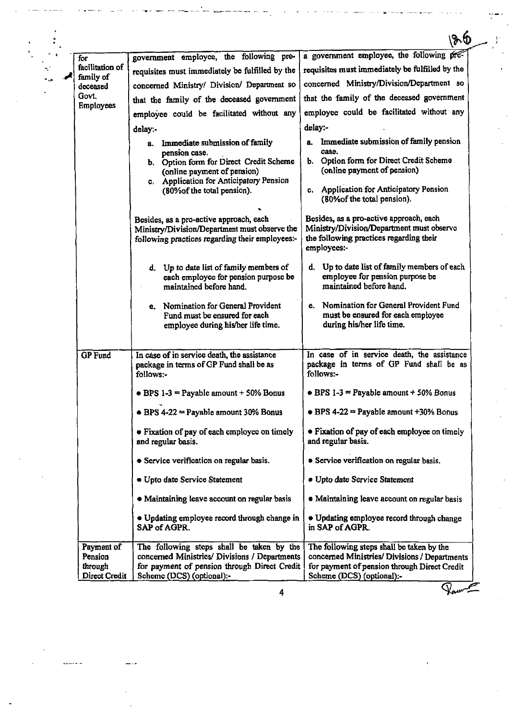|                              |                                                                                                                                             | Z 6                                                                                                                                            |
|------------------------------|---------------------------------------------------------------------------------------------------------------------------------------------|------------------------------------------------------------------------------------------------------------------------------------------------|
| for                          | government employee, the following pre-                                                                                                     | a government employee, the following pre-                                                                                                      |
| facilitation of<br>family of | requisites must immediately be fulfilled by the                                                                                             | requisites must immediately be fulfilled by the                                                                                                |
| deceased                     | concerned Ministry/ Division/ Department so                                                                                                 | concerned Ministry/Division/Department so                                                                                                      |
| Govt.<br>Employees           | that the family of the deceased government                                                                                                  | that the family of the deceased government                                                                                                     |
|                              | employee could be facilitated without any                                                                                                   | employee could be facilitated without any                                                                                                      |
|                              | delay:-                                                                                                                                     | delay:-                                                                                                                                        |
|                              | a. Immediate submission of family<br>pension case.                                                                                          | a. Immediate submission of family pension<br>case.                                                                                             |
|                              | b. Option form for Direct Credit Scheme<br>(online payment of pension)                                                                      | b. Option form for Direct Credit Scheme<br>(online payment of pension)                                                                         |
|                              | c. Application for Anticipatory Pension<br>(80% of the total pension).                                                                      | c. Application for Anticipatory Pension<br>(80% of the total pension).                                                                         |
|                              | Besides, as a pro-active approach, each<br>Ministry/Division/Department must observe the<br>following practices regarding their employees:- | Besides, as a pro-active approach, each<br>Ministry/Division/Department must observe<br>the following practices regarding their<br>employees:- |
|                              | d. Up to date list of family members of<br>each employee for pension purpose be<br>maintained before hand.                                  | d. Up to date list of family members of each<br>employee for pension purpose be<br>maintained before hand.                                     |
|                              | e. Nomination for General Provident<br>Fund must be ensured for each<br>employee during his/her life time.                                  | Nomination for General Provident Fund<br>e.<br>must be ensured for each employee<br>during his/her life time.                                  |
| <b>GP</b> Fund               | In case of in service death, the assistance<br>package in terms of GP Fund shall be as<br>follows:-                                         | In case of in service death, the assistance<br>package in terms of GP Fund shall be as<br>follows:-                                            |
|                              | $\bullet$ BPS 1-3 = Payable amount + 50% Bonus                                                                                              | $\bullet$ BPS 1-3 = Payable amount + 50% Bonus                                                                                                 |
|                              | $\bullet$ BPS 4-22 = Payable amount 30% Bonus                                                                                               | $\bullet$ BPS 4-22 = Payable amount +30% Bonus                                                                                                 |
|                              | • Fixation of pay of each employee on timely<br>and regular basis.                                                                          | • Fixation of pay of each employee on timely<br>and regular basis.                                                                             |
|                              | • Service verification on regular basis.                                                                                                    | <b>• Service verification on regular basis.</b>                                                                                                |
|                              | • Upto date Service Statement                                                                                                               | • Upto date Service Statement                                                                                                                  |
|                              | • Maintaining leave account on regular basis                                                                                                | • Maintaining leave account on regular basis                                                                                                   |
|                              | • Updating employee record through change in<br>SAP of AGPR.                                                                                | • Updating employee record through change<br>in SAP of AGPR.                                                                                   |
| Payment of                   | The following steps shall be taken by the                                                                                                   | The following steps shall be taken by the                                                                                                      |
| Pension<br>through           | concerned Ministries/ Divisions / Departments                                                                                               | concerned Ministries/ Divisions / Departments                                                                                                  |
|                              | for payment of pension through Direct Credit                                                                                                | for payment of pension through Direct Credit                                                                                                   |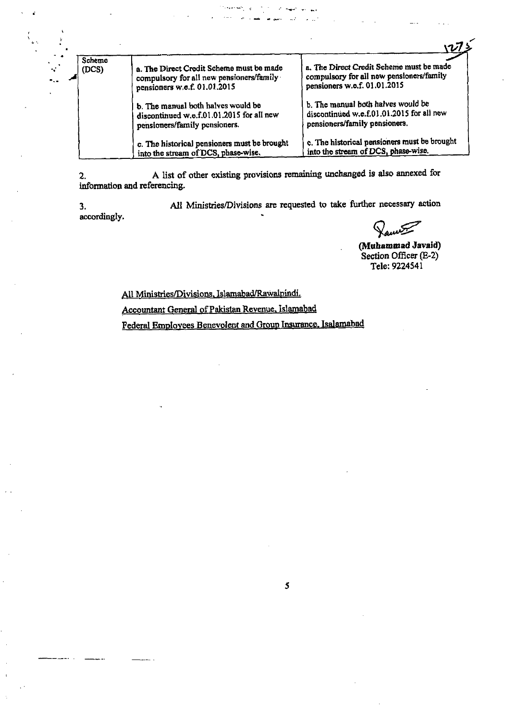|                 |                                                                                                                      | $V^{\frac{1}{2}}$                                                                                                    |
|-----------------|----------------------------------------------------------------------------------------------------------------------|----------------------------------------------------------------------------------------------------------------------|
| Scheme<br>(DCS) | a. The Direct Credit Scheme must be made<br>compulsory for all new pensioners/family<br>pensioners w.e.f. 01.01.2015 | a. The Direct Credit Scheme must be made<br>compulsory for all new pensioners/family<br>pensioners w.e.f. 01.01.2015 |
|                 | b. The manual both halves would be<br>discontinued w.e.f.01.01.2015 for all new<br>pensioners/family pensioners.     | b. The manual both halves would be<br>discontinued w.e.f.01.01.2015 for all new<br>pensioners/family pensioners.     |
|                 | c. The historical pensioners must be brought<br>into the stream of DCS, phase-wise.                                  | c. The historical pensioners must be brought<br>into the stream of DCS, phase-wise.                                  |

**2.** A list of other existing provisions remaining unchaaged is also **annexed** for information and referencing.

3. **All Ministries/Divisions are requested to take further necessary action** accordingly.

5'J . **(Muhammad** Javaid) Section **Officer @-2)**  Tele: **9224541** 

All Ministries/Divisions. Islamabad/Rawalpindi.

Accountant General of Pakistan Revenue. Islamabad

Federal Employees Benevolent and Group Insurance. Isalamabad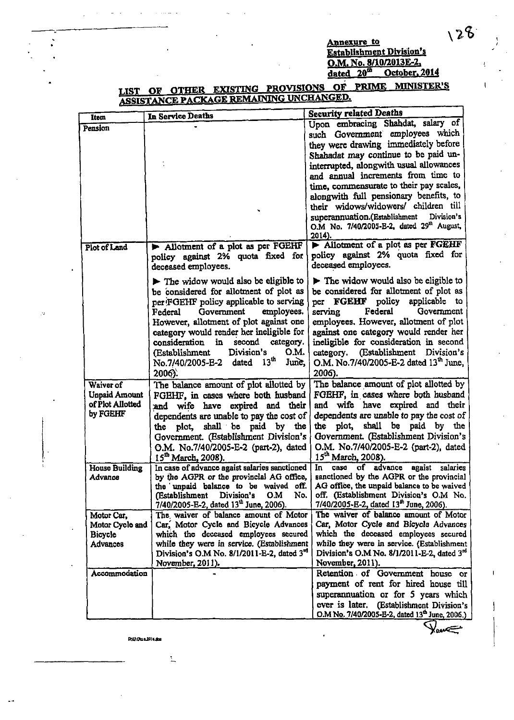### **Annexure** to **Establishment Division's** O.M. No. 8/10/2013E-2.<br>dated 20<sup>th</sup> October. October, 2014

# **MINISTER'S** LIST OF OTHER EXISTING PROVISIONS OF **PRIME** ASSISTANCE PACKAGE REMAINING UNCHANGED. **Security related Deaths** In Service Deaths Upon embracing Shahdat, salary of such Government employees which they were drawing immediately before

| 2014).<br>Allotment of a plot as per FGEHF<br>Allotment of a plot as per FGEHF<br>Plot of Land<br>policy against 2% quota fixed for<br>policy against 2% quota fixed for<br>deceased employees.<br>deceased employees.<br>$\blacktriangleright$ The widow would also be eligible to<br>$\blacktriangleright$ The widow would also be eligible to<br>be considered for allotment of plot as<br>be considered for allotment of plot as<br>per FGEHF policy<br>applicable<br>per FGEHF policy applicable to serving<br>- to<br>employees.<br>serving<br>Federal<br>Government<br>Government<br>Federal<br>employees, However, allotment of plot<br>However, allotment of plot against one<br>against one category would render her<br>category would render her ineligible for<br>ineligible for consideration in second<br>consideration<br>in<br>second<br>category.<br>Division's<br>O.M.<br>category. (Establishment<br>(Establishment<br>Division's<br>13 <sup>th</sup><br>O.M. No.7/40/2005-E-2 dated 13 <sup>th</sup> June.<br>June,<br>No.7/40/2005-E-2<br>dated<br>2006).<br>2006).<br>The balance amount of plot allotted by<br>Waiver of<br>The balance amount of plot allotted by<br>FGEHF, in cases where both husband<br><b>Unpaid Amount</b><br>FGEHF, in cases where both husband<br>of Plot Allotted<br>and wife have expired and their<br>wife have expired and their<br>and<br>by FGEHF<br>dependents are unable to pay the cost of<br>dependents are unable to pay the cost of<br>shall be paid by the<br>plot, shall be paid by the<br>plot,<br>the<br>the<br>Government. (Establishment Division's<br>Government. (Establishment Division's<br>O.M. No.7/40/2005-E-2 (part-2), dated<br>O.M. No.7/40/2005-E-2 (part-2), dated<br>15 <sup>th</sup> March, 2008).<br>15 <sup>th</sup> March, 2008).<br>In case of advance agaist salaries sanctioned<br>of advance<br>salaries<br>House Building<br>Ιn.<br>CASO<br>agaist<br>sanctioned by the AGPR or the provincial<br>by the AGPR or the provincial AG office,<br>Advance<br>AG office, the unpaid balance to be waived<br>the unpaid balance to be waived off.<br>off. (Establishment Division's O.M No.<br>No.<br>(Establishment<br>Division's<br>O.M<br>7/40/2005-E-2, dated 13 <sup>th</sup> June, 2006).<br>7/40/2005-E-2, dated 13 <sup>th</sup> June, 2006).<br>The waiver of balance amount of Motor<br>The waiver of balance amount of Motor<br>Motor Car, |                 |                                                                                                      | superannuation.(Establishment<br>Division's           |
|-----------------------------------------------------------------------------------------------------------------------------------------------------------------------------------------------------------------------------------------------------------------------------------------------------------------------------------------------------------------------------------------------------------------------------------------------------------------------------------------------------------------------------------------------------------------------------------------------------------------------------------------------------------------------------------------------------------------------------------------------------------------------------------------------------------------------------------------------------------------------------------------------------------------------------------------------------------------------------------------------------------------------------------------------------------------------------------------------------------------------------------------------------------------------------------------------------------------------------------------------------------------------------------------------------------------------------------------------------------------------------------------------------------------------------------------------------------------------------------------------------------------------------------------------------------------------------------------------------------------------------------------------------------------------------------------------------------------------------------------------------------------------------------------------------------------------------------------------------------------------------------------------------------------------------------------------------------------------------------------------------------------------------------------------------------------------------------------------------------------------------------------------------------------------------------------------------------------------------------------------------------------------------------------------------------------------------------------------------------------------------------------------------------------------------------------|-----------------|------------------------------------------------------------------------------------------------------|-------------------------------------------------------|
|                                                                                                                                                                                                                                                                                                                                                                                                                                                                                                                                                                                                                                                                                                                                                                                                                                                                                                                                                                                                                                                                                                                                                                                                                                                                                                                                                                                                                                                                                                                                                                                                                                                                                                                                                                                                                                                                                                                                                                                                                                                                                                                                                                                                                                                                                                                                                                                                                                         |                 |                                                                                                      | O.M No. 7/40/2005-E-2, dated 29 <sup>th</sup> August, |
|                                                                                                                                                                                                                                                                                                                                                                                                                                                                                                                                                                                                                                                                                                                                                                                                                                                                                                                                                                                                                                                                                                                                                                                                                                                                                                                                                                                                                                                                                                                                                                                                                                                                                                                                                                                                                                                                                                                                                                                                                                                                                                                                                                                                                                                                                                                                                                                                                                         |                 |                                                                                                      |                                                       |
|                                                                                                                                                                                                                                                                                                                                                                                                                                                                                                                                                                                                                                                                                                                                                                                                                                                                                                                                                                                                                                                                                                                                                                                                                                                                                                                                                                                                                                                                                                                                                                                                                                                                                                                                                                                                                                                                                                                                                                                                                                                                                                                                                                                                                                                                                                                                                                                                                                         |                 |                                                                                                      |                                                       |
|                                                                                                                                                                                                                                                                                                                                                                                                                                                                                                                                                                                                                                                                                                                                                                                                                                                                                                                                                                                                                                                                                                                                                                                                                                                                                                                                                                                                                                                                                                                                                                                                                                                                                                                                                                                                                                                                                                                                                                                                                                                                                                                                                                                                                                                                                                                                                                                                                                         |                 |                                                                                                      |                                                       |
|                                                                                                                                                                                                                                                                                                                                                                                                                                                                                                                                                                                                                                                                                                                                                                                                                                                                                                                                                                                                                                                                                                                                                                                                                                                                                                                                                                                                                                                                                                                                                                                                                                                                                                                                                                                                                                                                                                                                                                                                                                                                                                                                                                                                                                                                                                                                                                                                                                         |                 |                                                                                                      |                                                       |
|                                                                                                                                                                                                                                                                                                                                                                                                                                                                                                                                                                                                                                                                                                                                                                                                                                                                                                                                                                                                                                                                                                                                                                                                                                                                                                                                                                                                                                                                                                                                                                                                                                                                                                                                                                                                                                                                                                                                                                                                                                                                                                                                                                                                                                                                                                                                                                                                                                         |                 |                                                                                                      |                                                       |
|                                                                                                                                                                                                                                                                                                                                                                                                                                                                                                                                                                                                                                                                                                                                                                                                                                                                                                                                                                                                                                                                                                                                                                                                                                                                                                                                                                                                                                                                                                                                                                                                                                                                                                                                                                                                                                                                                                                                                                                                                                                                                                                                                                                                                                                                                                                                                                                                                                         |                 |                                                                                                      |                                                       |
|                                                                                                                                                                                                                                                                                                                                                                                                                                                                                                                                                                                                                                                                                                                                                                                                                                                                                                                                                                                                                                                                                                                                                                                                                                                                                                                                                                                                                                                                                                                                                                                                                                                                                                                                                                                                                                                                                                                                                                                                                                                                                                                                                                                                                                                                                                                                                                                                                                         |                 |                                                                                                      |                                                       |
|                                                                                                                                                                                                                                                                                                                                                                                                                                                                                                                                                                                                                                                                                                                                                                                                                                                                                                                                                                                                                                                                                                                                                                                                                                                                                                                                                                                                                                                                                                                                                                                                                                                                                                                                                                                                                                                                                                                                                                                                                                                                                                                                                                                                                                                                                                                                                                                                                                         |                 |                                                                                                      |                                                       |
|                                                                                                                                                                                                                                                                                                                                                                                                                                                                                                                                                                                                                                                                                                                                                                                                                                                                                                                                                                                                                                                                                                                                                                                                                                                                                                                                                                                                                                                                                                                                                                                                                                                                                                                                                                                                                                                                                                                                                                                                                                                                                                                                                                                                                                                                                                                                                                                                                                         |                 |                                                                                                      |                                                       |
|                                                                                                                                                                                                                                                                                                                                                                                                                                                                                                                                                                                                                                                                                                                                                                                                                                                                                                                                                                                                                                                                                                                                                                                                                                                                                                                                                                                                                                                                                                                                                                                                                                                                                                                                                                                                                                                                                                                                                                                                                                                                                                                                                                                                                                                                                                                                                                                                                                         |                 |                                                                                                      |                                                       |
|                                                                                                                                                                                                                                                                                                                                                                                                                                                                                                                                                                                                                                                                                                                                                                                                                                                                                                                                                                                                                                                                                                                                                                                                                                                                                                                                                                                                                                                                                                                                                                                                                                                                                                                                                                                                                                                                                                                                                                                                                                                                                                                                                                                                                                                                                                                                                                                                                                         |                 |                                                                                                      |                                                       |
|                                                                                                                                                                                                                                                                                                                                                                                                                                                                                                                                                                                                                                                                                                                                                                                                                                                                                                                                                                                                                                                                                                                                                                                                                                                                                                                                                                                                                                                                                                                                                                                                                                                                                                                                                                                                                                                                                                                                                                                                                                                                                                                                                                                                                                                                                                                                                                                                                                         |                 |                                                                                                      |                                                       |
|                                                                                                                                                                                                                                                                                                                                                                                                                                                                                                                                                                                                                                                                                                                                                                                                                                                                                                                                                                                                                                                                                                                                                                                                                                                                                                                                                                                                                                                                                                                                                                                                                                                                                                                                                                                                                                                                                                                                                                                                                                                                                                                                                                                                                                                                                                                                                                                                                                         |                 |                                                                                                      |                                                       |
|                                                                                                                                                                                                                                                                                                                                                                                                                                                                                                                                                                                                                                                                                                                                                                                                                                                                                                                                                                                                                                                                                                                                                                                                                                                                                                                                                                                                                                                                                                                                                                                                                                                                                                                                                                                                                                                                                                                                                                                                                                                                                                                                                                                                                                                                                                                                                                                                                                         |                 |                                                                                                      |                                                       |
|                                                                                                                                                                                                                                                                                                                                                                                                                                                                                                                                                                                                                                                                                                                                                                                                                                                                                                                                                                                                                                                                                                                                                                                                                                                                                                                                                                                                                                                                                                                                                                                                                                                                                                                                                                                                                                                                                                                                                                                                                                                                                                                                                                                                                                                                                                                                                                                                                                         |                 |                                                                                                      |                                                       |
|                                                                                                                                                                                                                                                                                                                                                                                                                                                                                                                                                                                                                                                                                                                                                                                                                                                                                                                                                                                                                                                                                                                                                                                                                                                                                                                                                                                                                                                                                                                                                                                                                                                                                                                                                                                                                                                                                                                                                                                                                                                                                                                                                                                                                                                                                                                                                                                                                                         |                 |                                                                                                      |                                                       |
|                                                                                                                                                                                                                                                                                                                                                                                                                                                                                                                                                                                                                                                                                                                                                                                                                                                                                                                                                                                                                                                                                                                                                                                                                                                                                                                                                                                                                                                                                                                                                                                                                                                                                                                                                                                                                                                                                                                                                                                                                                                                                                                                                                                                                                                                                                                                                                                                                                         |                 |                                                                                                      |                                                       |
|                                                                                                                                                                                                                                                                                                                                                                                                                                                                                                                                                                                                                                                                                                                                                                                                                                                                                                                                                                                                                                                                                                                                                                                                                                                                                                                                                                                                                                                                                                                                                                                                                                                                                                                                                                                                                                                                                                                                                                                                                                                                                                                                                                                                                                                                                                                                                                                                                                         |                 |                                                                                                      |                                                       |
|                                                                                                                                                                                                                                                                                                                                                                                                                                                                                                                                                                                                                                                                                                                                                                                                                                                                                                                                                                                                                                                                                                                                                                                                                                                                                                                                                                                                                                                                                                                                                                                                                                                                                                                                                                                                                                                                                                                                                                                                                                                                                                                                                                                                                                                                                                                                                                                                                                         |                 |                                                                                                      |                                                       |
|                                                                                                                                                                                                                                                                                                                                                                                                                                                                                                                                                                                                                                                                                                                                                                                                                                                                                                                                                                                                                                                                                                                                                                                                                                                                                                                                                                                                                                                                                                                                                                                                                                                                                                                                                                                                                                                                                                                                                                                                                                                                                                                                                                                                                                                                                                                                                                                                                                         |                 |                                                                                                      |                                                       |
|                                                                                                                                                                                                                                                                                                                                                                                                                                                                                                                                                                                                                                                                                                                                                                                                                                                                                                                                                                                                                                                                                                                                                                                                                                                                                                                                                                                                                                                                                                                                                                                                                                                                                                                                                                                                                                                                                                                                                                                                                                                                                                                                                                                                                                                                                                                                                                                                                                         |                 |                                                                                                      |                                                       |
|                                                                                                                                                                                                                                                                                                                                                                                                                                                                                                                                                                                                                                                                                                                                                                                                                                                                                                                                                                                                                                                                                                                                                                                                                                                                                                                                                                                                                                                                                                                                                                                                                                                                                                                                                                                                                                                                                                                                                                                                                                                                                                                                                                                                                                                                                                                                                                                                                                         |                 |                                                                                                      |                                                       |
|                                                                                                                                                                                                                                                                                                                                                                                                                                                                                                                                                                                                                                                                                                                                                                                                                                                                                                                                                                                                                                                                                                                                                                                                                                                                                                                                                                                                                                                                                                                                                                                                                                                                                                                                                                                                                                                                                                                                                                                                                                                                                                                                                                                                                                                                                                                                                                                                                                         |                 |                                                                                                      |                                                       |
|                                                                                                                                                                                                                                                                                                                                                                                                                                                                                                                                                                                                                                                                                                                                                                                                                                                                                                                                                                                                                                                                                                                                                                                                                                                                                                                                                                                                                                                                                                                                                                                                                                                                                                                                                                                                                                                                                                                                                                                                                                                                                                                                                                                                                                                                                                                                                                                                                                         |                 |                                                                                                      |                                                       |
|                                                                                                                                                                                                                                                                                                                                                                                                                                                                                                                                                                                                                                                                                                                                                                                                                                                                                                                                                                                                                                                                                                                                                                                                                                                                                                                                                                                                                                                                                                                                                                                                                                                                                                                                                                                                                                                                                                                                                                                                                                                                                                                                                                                                                                                                                                                                                                                                                                         | Motor Cycle and | Car, Motor Cycle and Bicycle Advances                                                                | Car, Motor Cycle and Bicycle Advances                 |
| Division's O.M No. 8/1/2011-E-2, dated 3 <sup>rd</sup>                                                                                                                                                                                                                                                                                                                                                                                                                                                                                                                                                                                                                                                                                                                                                                                                                                                                                                                                                                                                                                                                                                                                                                                                                                                                                                                                                                                                                                                                                                                                                                                                                                                                                                                                                                                                                                                                                                                                                                                                                                                                                                                                                                                                                                                                                                                                                                                  | <b>Bicycle</b>  | which the deceased employees secured                                                                 | which the deceased employees secured                  |
| November, 2011).<br>November, 2011).                                                                                                                                                                                                                                                                                                                                                                                                                                                                                                                                                                                                                                                                                                                                                                                                                                                                                                                                                                                                                                                                                                                                                                                                                                                                                                                                                                                                                                                                                                                                                                                                                                                                                                                                                                                                                                                                                                                                                                                                                                                                                                                                                                                                                                                                                                                                                                                                    | <b>Advances</b> | while they were in service. (Establishment<br>Division's O.M No. 8/1/2011-E-2, dated 3 <sup>rd</sup> | while they were in service. (Establishment            |
|                                                                                                                                                                                                                                                                                                                                                                                                                                                                                                                                                                                                                                                                                                                                                                                                                                                                                                                                                                                                                                                                                                                                                                                                                                                                                                                                                                                                                                                                                                                                                                                                                                                                                                                                                                                                                                                                                                                                                                                                                                                                                                                                                                                                                                                                                                                                                                                                                                         |                 |                                                                                                      |                                                       |
|                                                                                                                                                                                                                                                                                                                                                                                                                                                                                                                                                                                                                                                                                                                                                                                                                                                                                                                                                                                                                                                                                                                                                                                                                                                                                                                                                                                                                                                                                                                                                                                                                                                                                                                                                                                                                                                                                                                                                                                                                                                                                                                                                                                                                                                                                                                                                                                                                                         | Accommodation   |                                                                                                      | Retention of Government house or                      |
| ever is later. (Establishment Division's                                                                                                                                                                                                                                                                                                                                                                                                                                                                                                                                                                                                                                                                                                                                                                                                                                                                                                                                                                                                                                                                                                                                                                                                                                                                                                                                                                                                                                                                                                                                                                                                                                                                                                                                                                                                                                                                                                                                                                                                                                                                                                                                                                                                                                                                                                                                                                                                |                 |                                                                                                      | payment of rent for hired house till                  |
| O.M No. 7/40/2005-E-2, dated 13 <sup>th</sup> June, 2006.)                                                                                                                                                                                                                                                                                                                                                                                                                                                                                                                                                                                                                                                                                                                                                                                                                                                                                                                                                                                                                                                                                                                                                                                                                                                                                                                                                                                                                                                                                                                                                                                                                                                                                                                                                                                                                                                                                                                                                                                                                                                                                                                                                                                                                                                                                                                                                                              |                 |                                                                                                      | superannuation or for 5 years which                   |

DAU.Ou.e.2014.dog

 $\mathbb{L}$ 

**Item** 

 $\overline{a}$ 

Pension

Yans

 $128$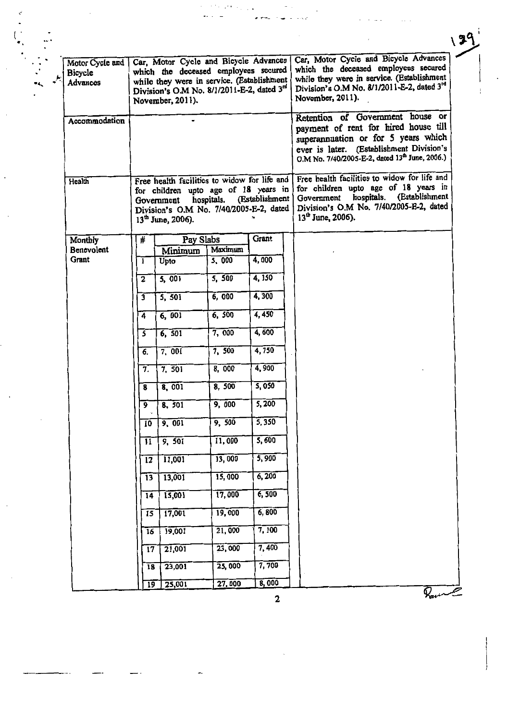| Motor Cycle and<br>Bicycle<br><b>Advances</b> | Car, Motor Cycle and Bicycle Advances<br>which the deceased employees secured<br>while they were in service. (Establishment<br>Division's O.M No. 8/1/2011-E-2, dated 3rd<br>November, 2011). |                           |                    | Car, Motor Cycle and Bicycle Advances<br>which the deceased employees secured<br>while they were in service. (Establishment<br>Division's O.M No. 8/1/2011-E-2, dated 3rd<br>November, 2011).                             |
|-----------------------------------------------|-----------------------------------------------------------------------------------------------------------------------------------------------------------------------------------------------|---------------------------|--------------------|---------------------------------------------------------------------------------------------------------------------------------------------------------------------------------------------------------------------------|
| Accommodation                                 |                                                                                                                                                                                               |                           |                    | Retention of Government house or<br>payment of rent for hired house till<br>superannuation or for 5 years which<br>ever is later. (Establishment Division's<br>O.M No. 7/40/2005-E-2, dated 13 <sup>th</sup> June, 2006.) |
| Health                                        | Free health facilities to widow for life and<br>for children upto age of 18 years in<br>Government<br>Division's O.M No. 7/40/2005-E-2, dated<br>13 <sup>th</sup> June, 2006).                | hospitals. (Establishment |                    | Free health facilities to widow for life and<br>for children upto age of 18 years in<br>(Establishment<br>hospitals.<br>Government<br>Division's O.M No. 7/40/2005-E-2, dated<br>$13th$ June, 2006).                      |
| Monthly                                       | #                                                                                                                                                                                             | Pay Slabs                 | Grant              |                                                                                                                                                                                                                           |
| Benevolent<br>Grant                           | Minimum                                                                                                                                                                                       | Maximum                   |                    |                                                                                                                                                                                                                           |
|                                               | Upto<br>1                                                                                                                                                                                     | 5,000                     | $\overline{4,000}$ |                                                                                                                                                                                                                           |
|                                               | 5,001<br>2                                                                                                                                                                                    | 5.500                     | 4,150              |                                                                                                                                                                                                                           |
|                                               | 5, 501<br>$\overline{\mathbf{3}}$                                                                                                                                                             | 6,000                     | 4,300              |                                                                                                                                                                                                                           |
|                                               | 6,001<br>4                                                                                                                                                                                    | 6, 500                    | 4,450              |                                                                                                                                                                                                                           |
|                                               | 6, 501<br>5                                                                                                                                                                                   | 7,000                     | 4,600              |                                                                                                                                                                                                                           |
|                                               | 7,001<br>6.                                                                                                                                                                                   | 7,500                     | 4,750              |                                                                                                                                                                                                                           |
|                                               | 7,501<br>7.                                                                                                                                                                                   | 8,000                     | 4,900              |                                                                                                                                                                                                                           |
|                                               | 8,001<br>8                                                                                                                                                                                    | 8,500                     | 5,050              |                                                                                                                                                                                                                           |
|                                               | 8, 501<br>9                                                                                                                                                                                   | 9,000                     | $\sqrt{5}$ , 200   |                                                                                                                                                                                                                           |
|                                               | 9,001<br>10                                                                                                                                                                                   | 9,500                     | 5,350              |                                                                                                                                                                                                                           |
|                                               | 9, 501<br>11                                                                                                                                                                                  | 11,000                    | 5,600              |                                                                                                                                                                                                                           |
|                                               | 11,001<br>12                                                                                                                                                                                  | 13,000                    | 5,900              |                                                                                                                                                                                                                           |
|                                               | 13,001<br>13                                                                                                                                                                                  | 15,000                    | 6,200              |                                                                                                                                                                                                                           |
|                                               | 15,001<br>14                                                                                                                                                                                  | 17,000                    | 6,500              |                                                                                                                                                                                                                           |
|                                               | 17,001<br>15                                                                                                                                                                                  | 19,000                    | 6,800              |                                                                                                                                                                                                                           |
|                                               | 19,001<br>16                                                                                                                                                                                  | 21,000                    | 7,100              |                                                                                                                                                                                                                           |
|                                               | $\overline{17}$<br>21,001                                                                                                                                                                     | 23,000                    | 7,400              |                                                                                                                                                                                                                           |
|                                               | 23,001<br>18                                                                                                                                                                                  | 25,000                    | 7,700              |                                                                                                                                                                                                                           |
|                                               | 19<br>25,001                                                                                                                                                                                  | 27,000                    | 8,000              | Raine                                                                                                                                                                                                                     |

 $\ddot{\phantom{a}}$ 

 $\frac{1}{2}$ 

 $139$